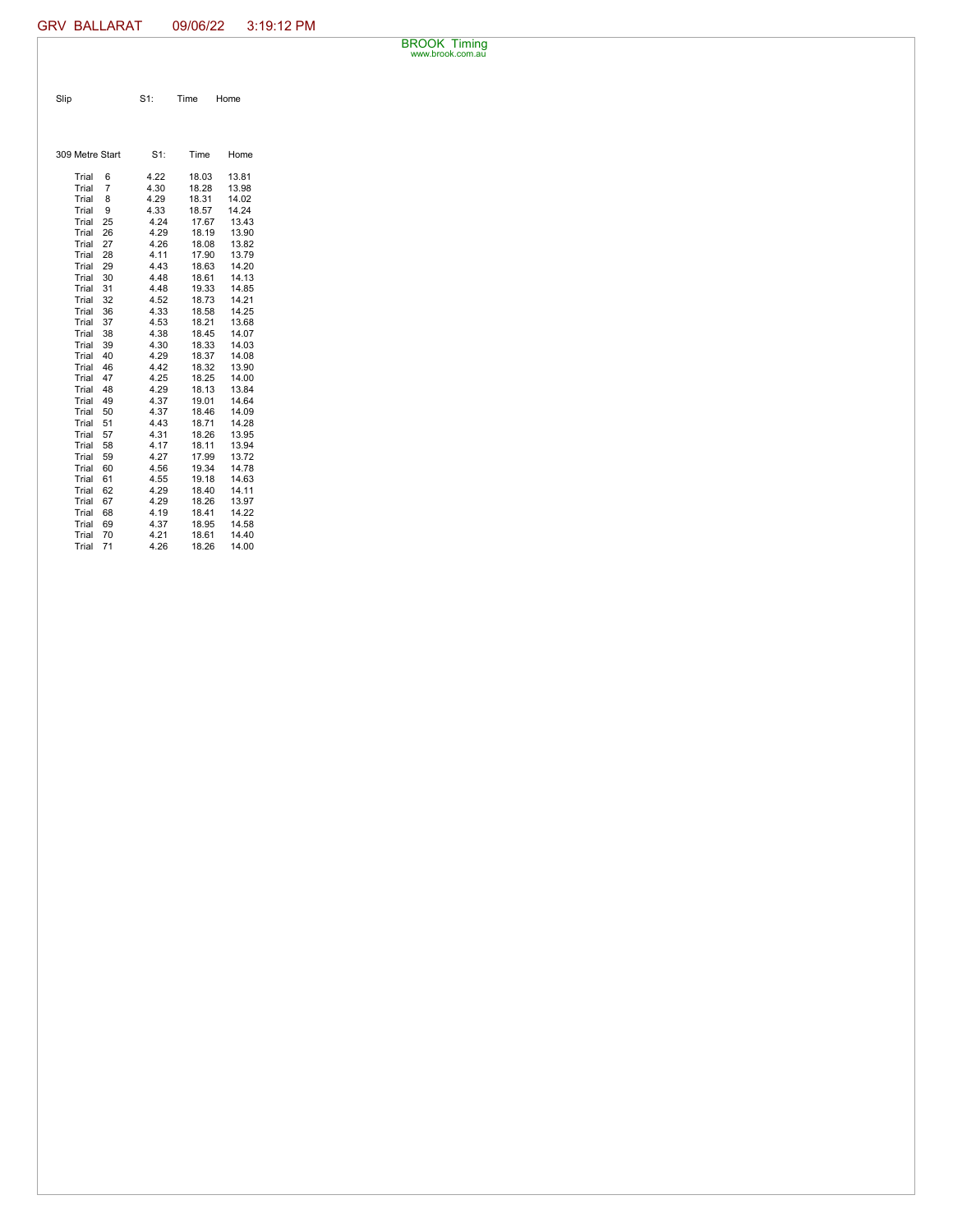BROOK Timing www.brook.com.au

| Slip | $S1$ : | Time | Home |
|------|--------|------|------|

| 309 Metre Start |                | $S1$ : | Time  | Home  |
|-----------------|----------------|--------|-------|-------|
| Trial           | 6              | 4.22   | 18.03 | 13.81 |
| Trial           | $\overline{7}$ | 4.30   | 18.28 | 13.98 |
| Trial           | 8              | 4.29   | 18.31 | 14.02 |
| Trial           | 9              | 4.33   | 18.57 | 14.24 |
| Trial           | 25             | 4.24   | 17.67 | 13.43 |
| Trial           | 26             | 4.29   | 18.19 | 13.90 |
| Trial           | 27             | 4.26   | 18.08 | 13.82 |
| Trial           | 28             | 4.11   | 17.90 | 13.79 |
| Trial           | 29             | 4.43   | 18.63 | 14.20 |
| Trial           | 30             | 4.48   | 18.61 | 14.13 |
| Trial           | 31             | 4.48   | 19.33 | 14.85 |
| Trial           | 32             | 4.52   | 18.73 | 14.21 |
| Trial           | 36             | 4.33   | 18.58 | 14.25 |
| Trial           | 37             | 4.53   | 18.21 | 13.68 |
| Trial           | 38             | 4.38   | 18.45 | 14.07 |
| Trial           | 39             | 4.30   | 18.33 | 14.03 |
| Trial           | 40             | 4.29   | 18.37 | 14.08 |
| Trial           | 46             | 4.42   | 18.32 | 13.90 |
| Trial           | 47             | 4.25   | 18.25 | 14.00 |
| Trial           | 48             | 4.29   | 18.13 | 13.84 |
| Trial           | 49             | 4.37   | 19.01 | 14.64 |
| Trial           | 50             | 4.37   | 18.46 | 14.09 |
| Trial           | 51             | 4.43   | 18.71 | 14.28 |
| Trial           | 57             | 4.31   | 18.26 | 13.95 |
| Trial           | 58             | 4.17   | 18.11 | 13.94 |
| Trial           | 59             | 4.27   | 17.99 | 13.72 |
| Trial           | 60             | 4.56   | 19.34 | 14.78 |
| Trial           | 61             | 4.55   | 19.18 | 14.63 |
| Trial           | 62             | 4.29   | 18.40 | 14.11 |
| Trial           | 67             | 4.29   | 18.26 | 13.97 |
| Trial           | 68             | 4.19   | 18.41 | 14.22 |
| Trial           | 69             | 4.37   | 18.95 | 14.58 |
| Trial           | 70             | 4.21   | 18.61 | 14.40 |
| Trial           | 71             | 4.26   | 18.26 | 14.00 |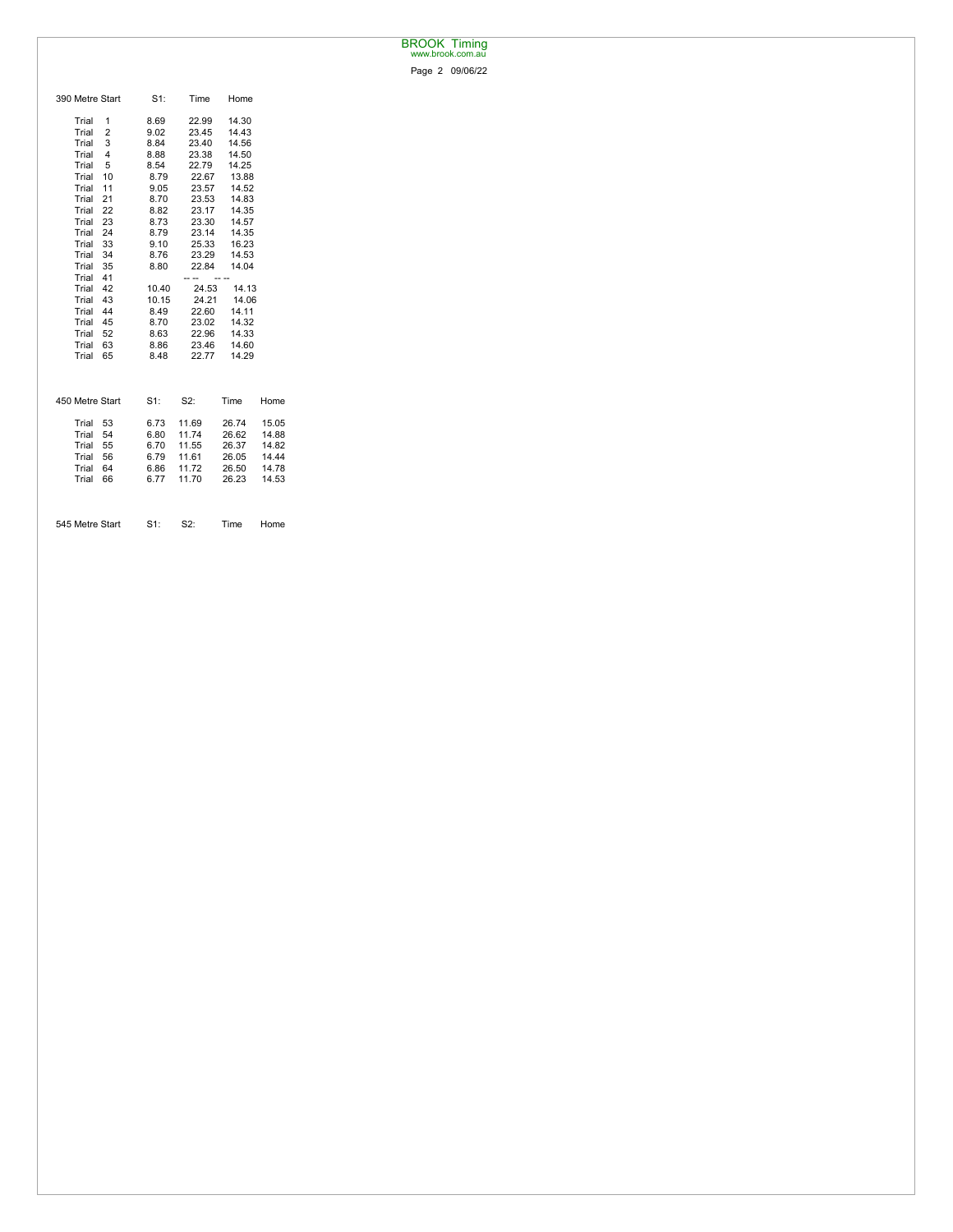## BROOK Timing www.brook.com.au

Page 2 09/06/22

| 390 Metre Start | $S1$ : | Time  | Home  |       |
|-----------------|--------|-------|-------|-------|
| Trial<br>1      | 8.69   | 22.99 | 14.30 |       |
| 2<br>Trial      | 9.02   | 23.45 | 14.43 |       |
| 3<br>Trial      | 8.84   | 23.40 | 14.56 |       |
| 4<br>Trial      | 8.88   | 23.38 | 14.50 |       |
| Trial<br>5      | 8.54   | 22.79 | 14.25 |       |
| 10<br>Trial     | 8.79   | 22.67 | 13.88 |       |
| 11<br>Trial     | 9.05   | 23.57 | 14.52 |       |
| 21<br>Trial     | 8.70   | 23.53 | 14.83 |       |
| 22<br>Trial     | 8.82   | 23.17 | 14.35 |       |
| Trial<br>23     | 8.73   | 23.30 | 14.57 |       |
| 24<br>Trial     | 8.79   | 23.14 | 14.35 |       |
| Trial<br>33     | 9.10   | 25.33 | 16.23 |       |
| 34<br>Trial     | 8.76   | 23.29 | 14.53 |       |
| Trial<br>35     | 8.80   | 22.84 | 14.04 |       |
| 41<br>Trial     |        | --    |       |       |
| Trial<br>42     | 10.40  | 24.53 | 14.13 |       |
| 43<br>Trial     | 10.15  | 24.21 | 14.06 |       |
| 44<br>Trial     | 8.49   | 22.60 | 14.11 |       |
| Trial<br>45     | 8.70   | 23.02 | 14.32 |       |
| Trial<br>52     | 8.63   | 22.96 | 14.33 |       |
| Trial<br>63     | 8.86   | 23.46 | 14.60 |       |
| Trial<br>65     | 8.48   | 22.77 | 14.29 |       |
|                 |        |       |       |       |
| 450 Metre Start | $S1$ : | S2:   | Time  | Home  |
| Trial<br>53     | 6.73   | 11.69 | 26.74 | 15.05 |
| 54<br>Trial     | 6.80   | 11.74 | 26.62 | 14.88 |
| Trial<br>55     | 6.70   | 11.55 | 26.37 | 14.82 |
| 56<br>Trial     | 6.79   | 11.61 | 26.05 | 14.44 |
| Trial<br>64     | 6.86   | 11.72 | 26.50 | 14.78 |
| Trial<br>66     | 6.77   | 11.70 | 26.23 | 14.53 |
|                 |        |       |       |       |
| 545 Metre Start | $S1$ : | S2:   | Time  | Home  |